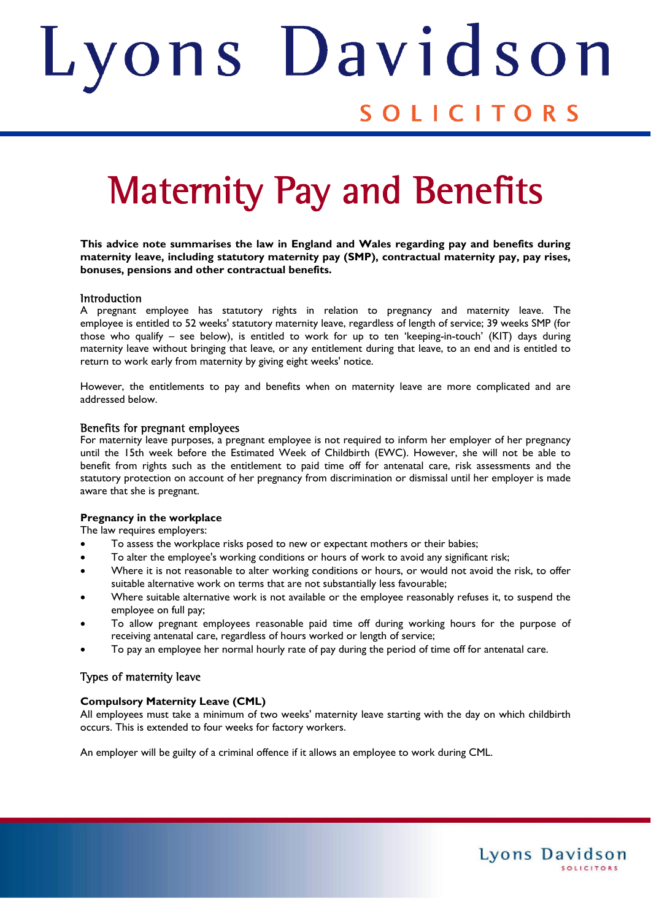# ons Davids Judith

# SOLICITORS

Lyons Davidson

# Maternity Pay and Benefits

**This advice note summarises the law in England and Wales regarding pay and benefits during maternity leave, including statutory maternity pay (SMP), contractual maternity pay, pay rises, bonuses, pensions and other contractual benefits.** 

#### **Introduction**

A pregnant employee has statutory rights in relation to pregnancy and maternity leave. The employee is entitled to 52 weeks' statutory maternity leave, regardless of length of service; 39 weeks SMP (for those who qualify – see below), is entitled to work for up to ten 'keeping-in-touch' (KIT) days during maternity leave without bringing that leave, or any entitlement during that leave, to an end and is entitled to return to work early from maternity by giving eight weeks' notice.

However, the entitlements to pay and benefits when on maternity leave are more complicated and are addressed below.

#### Benefits for pregnant employees

For maternity leave purposes, a pregnant employee is not required to inform her employer of her pregnancy until the 15th week before the Estimated Week of Childbirth (EWC). However, she will not be able to benefit from rights such as the entitlement to paid time off for antenatal care, risk assessments and the statutory protection on account of her pregnancy from discrimination or dismissal until her employer is made aware that she is pregnant.

#### **Pregnancy in the workplace**

The law requires employers:

- To assess the workplace risks posed to new or expectant mothers or their babies;
- To alter the employee's working conditions or hours of work to avoid any significant risk;
- Where it is not reasonable to alter working conditions or hours, or would not avoid the risk, to offer suitable alternative work on terms that are not substantially less favourable;
- Where suitable alternative work is not available or the employee reasonably refuses it, to suspend the employee on full pay;
- To allow pregnant employees reasonable paid time off during working hours for the purpose of receiving antenatal care, regardless of hours worked or length of service;
- To pay an employee her normal hourly rate of pay during the period of time off for antenatal care.

## Types of maternity leave

#### **Compulsory Maternity Leave (CML)**

All employees must take a minimum of two weeks' maternity leave starting with the day on which childbirth occurs. This is extended to four weeks for factory workers.

An employer will be guilty of a criminal offence if it allows an employee to work during CML.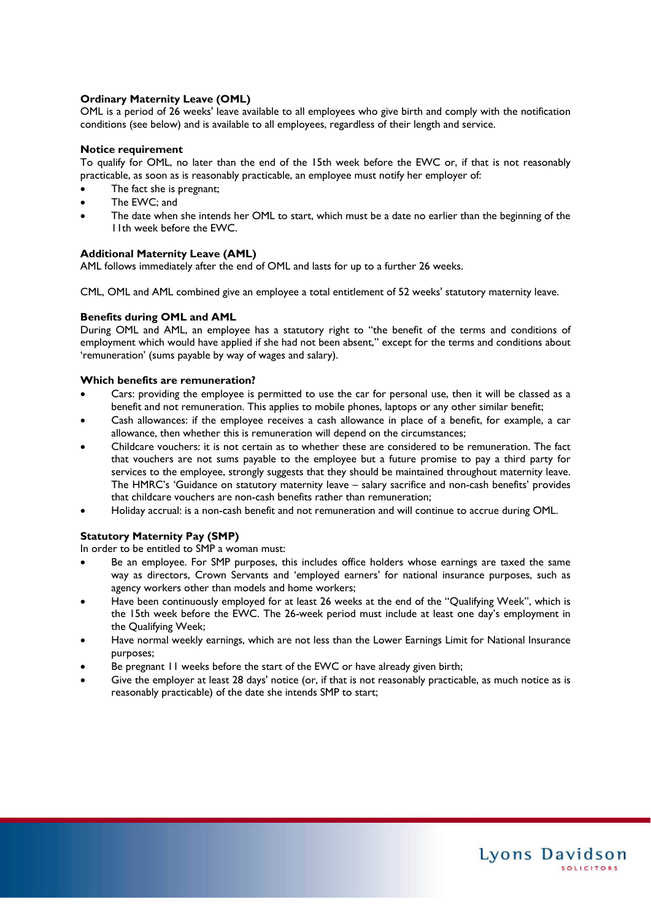## **Ordinary Maternity Leave (OML)**

OML is a period of 26 weeks' leave available to all employees who give birth and comply with the notification conditions (see below) and is available to all employees, regardless of their length and service.

#### **Notice requirement**

To qualify for OML, no later than the end of the 15th week before the EWC or, if that is not reasonably practicable, as soon as is reasonably practicable, an employee must notify her employer of:

- The fact she is pregnant;
- The EWC; and
- The date when she intends her OML to start, which must be a date no earlier than the beginning of the 11th week before the EWC.

#### **Additional Maternity Leave (AML)**

AML follows immediately after the end of OML and lasts for up to a further 26 weeks.

CML, OML and AML combined give an employee a total entitlement of 52 weeks' statutory maternity leave.

#### **Benefits during OML and AML**

During OML and AML, an employee has a statutory right to "the benefit of the terms and conditions of employment which would have applied if she had not been absent," except for the terms and conditions about 'remuneration' (sums payable by way of wages and salary).

#### **Which benefits are remuneration?**

- Cars: providing the employee is permitted to use the car for personal use, then it will be classed as a benefit and not remuneration. This applies to mobile phones, laptops or any other similar benefit;
- Cash allowances: if the employee receives a cash allowance in place of a benefit, for example, a car allowance, then whether this is remuneration will depend on the circumstances;
- Childcare vouchers: it is not certain as to whether these are considered to be remuneration. The fact that vouchers are not sums payable to the employee but a future promise to pay a third party for services to the employee, strongly suggests that they should be maintained throughout maternity leave. The HMRC's 'Guidance on statutory maternity leave – salary sacrifice and non-cash benefits' provides that childcare vouchers are non-cash benefits rather than remuneration;
- Holiday accrual: is a non-cash benefit and not remuneration and will continue to accrue during OML.

#### **Statutory Maternity Pay (SMP)**

In order to be entitled to SMP a woman must:

- Be an employee. For SMP purposes, this includes office holders whose earnings are taxed the same way as directors, Crown Servants and 'employed earners' for national insurance purposes, such as agency workers other than models and home workers;
- Have been continuously employed for at least 26 weeks at the end of the "Qualifying Week", which is the 15th week before the EWC. The 26-week period must include at least one day's employment in the Qualifying Week;
- Have normal weekly earnings, which are not less than the Lower Earnings Limit for National Insurance purposes;
- Be pregnant 11 weeks before the start of the EWC or have already given birth;
- Give the employer at least 28 days' notice (or, if that is not reasonably practicable, as much notice as is reasonably practicable) of the date she intends SMP to start;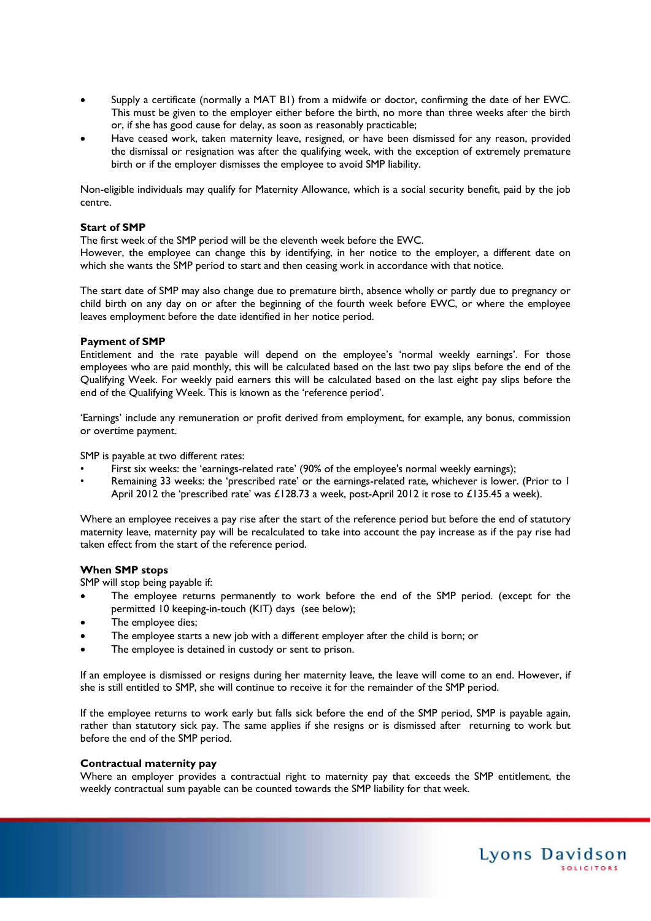- Supply a certificate (normally a MAT B1) from a midwife or doctor, confirming the date of her EWC. This must be given to the employer either before the birth, no more than three weeks after the birth or, if she has good cause for delay, as soon as reasonably practicable;
- Have ceased work, taken maternity leave, resigned, or have been dismissed for any reason, provided the dismissal or resignation was after the qualifying week, with the exception of extremely premature birth or if the employer dismisses the employee to avoid SMP liability.

Non-eligible individuals may qualify for Maternity Allowance, which is a social security benefit, paid by the job centre.

#### **Start of SMP**

The first week of the SMP period will be the eleventh week before the EWC.

However, the employee can change this by identifying, in her notice to the employer, a different date on which she wants the SMP period to start and then ceasing work in accordance with that notice.

The start date of SMP may also change due to premature birth, absence wholly or partly due to pregnancy or child birth on any day on or after the beginning of the fourth week before EWC, or where the employee leaves employment before the date identified in her notice period.

#### **Payment of SMP**

Entitlement and the rate payable will depend on the employee's 'normal weekly earnings'. For those employees who are paid monthly, this will be calculated based on the last two pay slips before the end of the Qualifying Week. For weekly paid earners this will be calculated based on the last eight pay slips before the end of the Qualifying Week. This is known as the 'reference period'.

'Earnings' include any remuneration or profit derived from employment, for example, any bonus, commission or overtime payment.

SMP is payable at two different rates:

- First six weeks: the 'earnings-related rate' (90% of the employee's normal weekly earnings);
- Remaining 33 weeks: the 'prescribed rate' or the earnings-related rate, whichever is lower. (Prior to 1 April 2012 the 'prescribed rate' was £128.73 a week, post-April 2012 it rose to £135.45 a week).

Where an employee receives a pay rise after the start of the reference period but before the end of statutory maternity leave, maternity pay will be recalculated to take into account the pay increase as if the pay rise had taken effect from the start of the reference period.

#### **When SMP stops**

SMP will stop being payable if:

- The employee returns permanently to work before the end of the SMP period. (except for the permitted 10 keeping-in-touch (KIT) days (see below);
- The employee dies;
- The employee starts a new job with a different employer after the child is born; or
- The employee is detained in custody or sent to prison.

If an employee is dismissed or resigns during her maternity leave, the leave will come to an end. However, if she is still entitled to SMP, she will continue to receive it for the remainder of the SMP period.

If the employee returns to work early but falls sick before the end of the SMP period, SMP is payable again, rather than statutory sick pay. The same applies if she resigns or is dismissed after returning to work but before the end of the SMP period.

#### **Contractual maternity pay**

Where an employer provides a contractual right to maternity pay that exceeds the SMP entitlement, the weekly contractual sum payable can be counted towards the SMP liability for that week.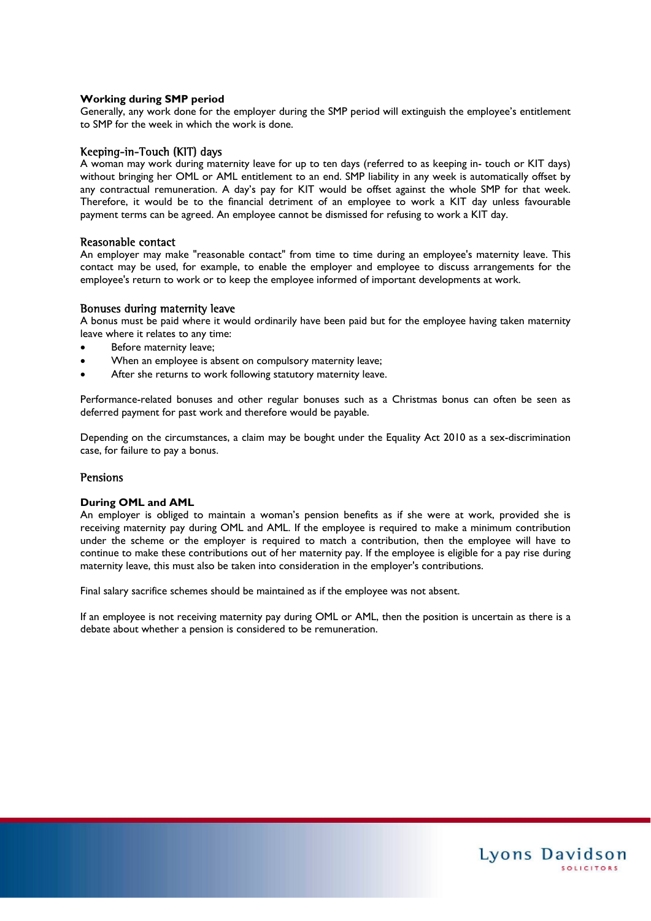#### **Working during SMP period**

Generally, any work done for the employer during the SMP period will extinguish the employee's entitlement to SMP for the week in which the work is done.

#### Keeping-in-Touch (KIT) days

A woman may work during maternity leave for up to ten days (referred to as keeping in- touch or KIT days) without bringing her OML or AML entitlement to an end. SMP liability in any week is automatically offset by any contractual remuneration. A day's pay for KIT would be offset against the whole SMP for that week. Therefore, it would be to the financial detriment of an employee to work a KIT day unless favourable payment terms can be agreed. An employee cannot be dismissed for refusing to work a KIT day.

#### Reasonable contact

An employer may make "reasonable contact" from time to time during an employee's maternity leave. This contact may be used, for example, to enable the employer and employee to discuss arrangements for the employee's return to work or to keep the employee informed of important developments at work.

#### Bonuses during maternity leave

A bonus must be paid where it would ordinarily have been paid but for the employee having taken maternity leave where it relates to any time:

- Before maternity leave;
- When an employee is absent on compulsory maternity leave;
- After she returns to work following statutory maternity leave.

Performance-related bonuses and other regular bonuses such as a Christmas bonus can often be seen as deferred payment for past work and therefore would be payable.

Depending on the circumstances, a claim may be bought under the Equality Act 2010 as a sex-discrimination case, for failure to pay a bonus.

#### **Pensions**

#### **During OML and AML**

An employer is obliged to maintain a woman's pension benefits as if she were at work, provided she is receiving maternity pay during OML and AML. If the employee is required to make a minimum contribution under the scheme or the employer is required to match a contribution, then the employee will have to continue to make these contributions out of her maternity pay. If the employee is eligible for a pay rise during maternity leave, this must also be taken into consideration in the employer's contributions.

Final salary sacrifice schemes should be maintained as if the employee was not absent.

If an employee is not receiving maternity pay during OML or AML, then the position is uncertain as there is a debate about whether a pension is considered to be remuneration.